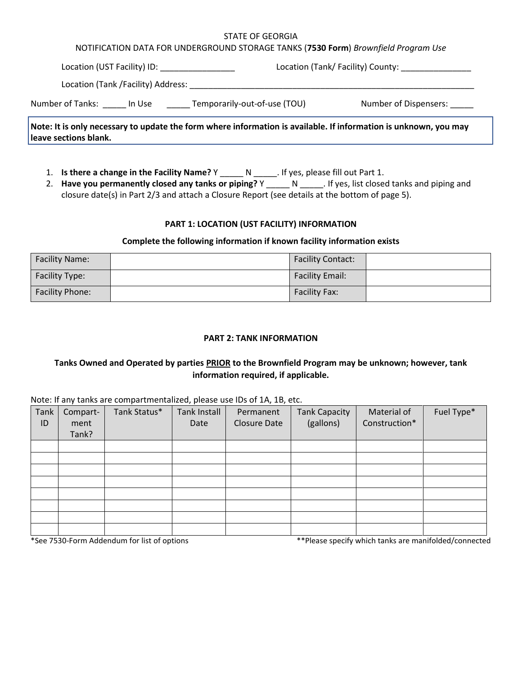#### STATE OF GEORGIA

## NOTIFICATION DATA FOR UNDERGROUND STORAGE TANKS (**7530 Form**) *Brownfield Program Use*

| Location (UST Facility) ID:        |                                        | Location (Tank/ Facility) County: |                       |  |
|------------------------------------|----------------------------------------|-----------------------------------|-----------------------|--|
| Location (Tank /Facility) Address: |                                        |                                   |                       |  |
| Number of Tanks:                   | Temporarily-out-of-use (TOU)<br>In Use |                                   | Number of Dispensers: |  |

**Note: It is only necessary to update the form where information is available. If information is unknown, you may leave sections blank.**

- 1. **Is there a change in the Facility Name?** Y \_\_\_\_\_ N \_\_\_\_\_. If yes, please fill out Part 1.
- 2. **Have you permanently closed any tanks or piping?** Y \_\_\_\_\_ N \_\_\_\_\_. If yes, list closed tanks and piping and closure date(s) in Part 2/3 and attach a Closure Report (see details at the bottom of page 5).

## **PART 1: LOCATION (UST FACILITY) INFORMATION**

## **Complete the following information if known facility information exists**

| <b>Facility Name:</b>  | <b>Facility Contact:</b> |  |
|------------------------|--------------------------|--|
| Facility Type:         | <b>Facility Email:</b>   |  |
| <b>Facility Phone:</b> | <b>Facility Fax:</b>     |  |

## **PART 2: TANK INFORMATION**

# **Tanks Owned and Operated by parties PRIOR to the Brownfield Program may be unknown; however, tank information required, if applicable.**

Note: If any tanks are compartmentalized, please use IDs of 1A, 1B, etc.

| Tank<br>ID | Compart-<br>ment<br>Tank? | Tank Status* | . .<br><b>Tank Install</b><br>Date | Permanent<br><b>Closure Date</b> | <b>Tank Capacity</b><br>(gallons) | Material of<br>Construction* | Fuel Type* |
|------------|---------------------------|--------------|------------------------------------|----------------------------------|-----------------------------------|------------------------------|------------|
|            |                           |              |                                    |                                  |                                   |                              |            |
|            |                           |              |                                    |                                  |                                   |                              |            |
|            |                           |              |                                    |                                  |                                   |                              |            |
|            |                           |              |                                    |                                  |                                   |                              |            |
|            |                           |              |                                    |                                  |                                   |                              |            |
|            |                           |              |                                    |                                  |                                   |                              |            |
|            |                           |              |                                    |                                  |                                   |                              |            |
|            |                           |              |                                    |                                  |                                   |                              |            |

\*See 7530-Form Addendum for list of options \*\*Please specify which tanks are manifolded/connected